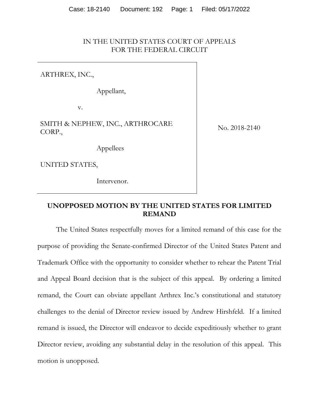### IN THE UNITED STATES COURT OF APPEALS FOR THE FEDERAL CIRCUIT

ARTHREX, INC.,

Appellant,

v.

SMITH & NEPHEW, INC., ARTHROCARE CORP.,

No. 2018-2140

Appellees

UNITED STATES,

Intervenor.

## **UNOPPOSED MOTION BY THE UNITED STATES FOR LIMITED REMAND**

 The United States respectfully moves for a limited remand of this case for the purpose of providing the Senate-confirmed Director of the United States Patent and Trademark Office with the opportunity to consider whether to rehear the Patent Trial and Appeal Board decision that is the subject of this appeal. By ordering a limited remand, the Court can obviate appellant Arthrex Inc.'s constitutional and statutory challenges to the denial of Director review issued by Andrew Hirshfeld. If a limited remand is issued, the Director will endeavor to decide expeditiously whether to grant Director review, avoiding any substantial delay in the resolution of this appeal. This motion is unopposed.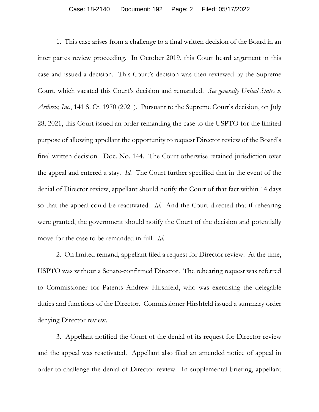1. This case arises from a challenge to a final written decision of the Board in an inter partes review proceeding. In October 2019, this Court heard argument in this case and issued a decision. This Court's decision was then reviewed by the Supreme Court, which vacated this Court's decision and remanded. *See generally United States v. Arthrex, Inc.*, 141 S. Ct. 1970 (2021). Pursuant to the Supreme Court's decision, on July 28, 2021, this Court issued an order remanding the case to the USPTO for the limited purpose of allowing appellant the opportunity to request Director review of the Board's final written decision. Doc. No. 144. The Court otherwise retained jurisdiction over the appeal and entered a stay. *Id.* The Court further specified that in the event of the denial of Director review, appellant should notify the Court of that fact within 14 days so that the appeal could be reactivated. *Id.* And the Court directed that if rehearing were granted, the government should notify the Court of the decision and potentially move for the case to be remanded in full. *Id.*

 2. On limited remand, appellant filed a request for Director review. At the time, USPTO was without a Senate-confirmed Director. The rehearing request was referred to Commissioner for Patents Andrew Hirshfeld, who was exercising the delegable duties and functions of the Director. Commissioner Hirshfeld issued a summary order denying Director review.

3. Appellant notified the Court of the denial of its request for Director review and the appeal was reactivated. Appellant also filed an amended notice of appeal in order to challenge the denial of Director review. In supplemental briefing, appellant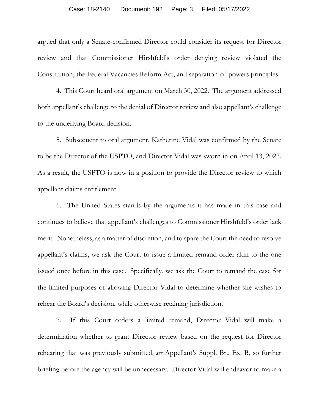argued that only a Senate-confirmed Director could consider its request for Director review and that Commissioner Hirshfeld's order denying review violated the Constitution, the Federal Vacancies Reform Act, and separation-of-powers principles.

4. This Court heard oral argument on March 30, 2022. The argument addressed both appellant's challenge to the denial of Director review and also appellant's challenge to the underlying Board decision.

5. Subsequent to oral argument, Katherine Vidal was confirmed by the Senate to be the Director of the USPTO, and Director Vidal was sworn in on April 13, 2022. As a result, the USPTO is now in a position to provide the Director review to which appellant claims entitlement.

6. The United States stands by the arguments it has made in this case and continues to believe that appellant's challenges to Commissioner Hirshfeld's order lack merit. Nonetheless, as a matter of discretion, and to spare the Court the need to resolve appellant's claims, we ask the Court to issue a limited remand order akin to the one issued once before in this case. Specifically, we ask the Court to remand the case for the limited purposes of allowing Director Vidal to determine whether she wishes to rehear the Board's decision, while otherwise retaining jurisdiction.

7. If this Court orders a limited remand, Director Vidal will make a determination whether to grant Director review based on the request for Director rehearing that was previously submitted, *see* Appellant's Suppl. Br., Ex. B, so further briefing before the agency will be unnecessary. Director Vidal will endeavor to make a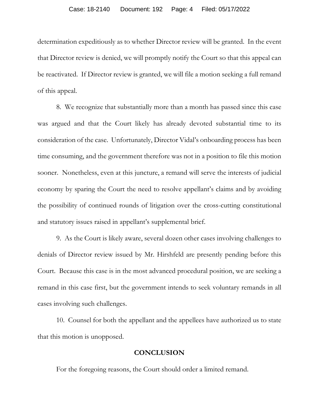#### Case: 18-2140 Document: 192 Page: 4 Filed: 05/17/2022

determination expeditiously as to whether Director review will be granted. In the event that Director review is denied, we will promptly notify the Court so that this appeal can be reactivated. If Director review is granted, we will file a motion seeking a full remand of this appeal.

8. We recognize that substantially more than a month has passed since this case was argued and that the Court likely has already devoted substantial time to its consideration of the case. Unfortunately, Director Vidal's onboarding process has been time consuming, and the government therefore was not in a position to file this motion sooner. Nonetheless, even at this juncture, a remand will serve the interests of judicial economy by sparing the Court the need to resolve appellant's claims and by avoiding the possibility of continued rounds of litigation over the cross-cutting constitutional and statutory issues raised in appellant's supplemental brief.

9. As the Court is likely aware, several dozen other cases involving challenges to denials of Director review issued by Mr. Hirshfeld are presently pending before this Court. Because this case is in the most advanced procedural position, we are seeking a remand in this case first, but the government intends to seek voluntary remands in all cases involving such challenges.

 10. Counsel for both the appellant and the appellees have authorized us to state that this motion is unopposed.

### **CONCLUSION**

For the foregoing reasons, the Court should order a limited remand.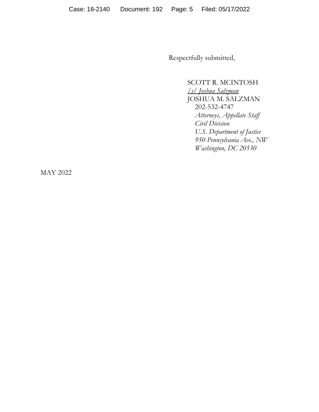Respectfully submitted,

SCOTT R. MCINTOSH */s/ Joshua Salzman*  JOSHUA M. SALZMAN 202-532-4747 *Attorneys, Appellate Staff Civil Division U.S. Department of Justice 950 Pennsylvania Ave., NW Washington, DC 20530*

MAY 2022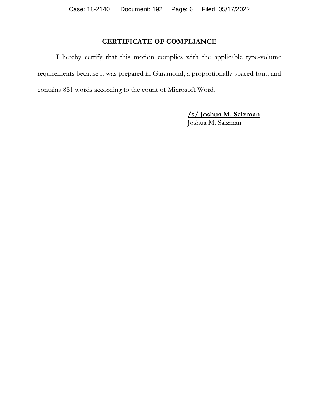# **CERTIFICATE OF COMPLIANCE**

 I hereby certify that this motion complies with the applicable type-volume requirements because it was prepared in Garamond, a proportionally-spaced font, and contains 881 words according to the count of Microsoft Word.

> **/s/ Joshua M. Salzman**  Joshua M. Salzman